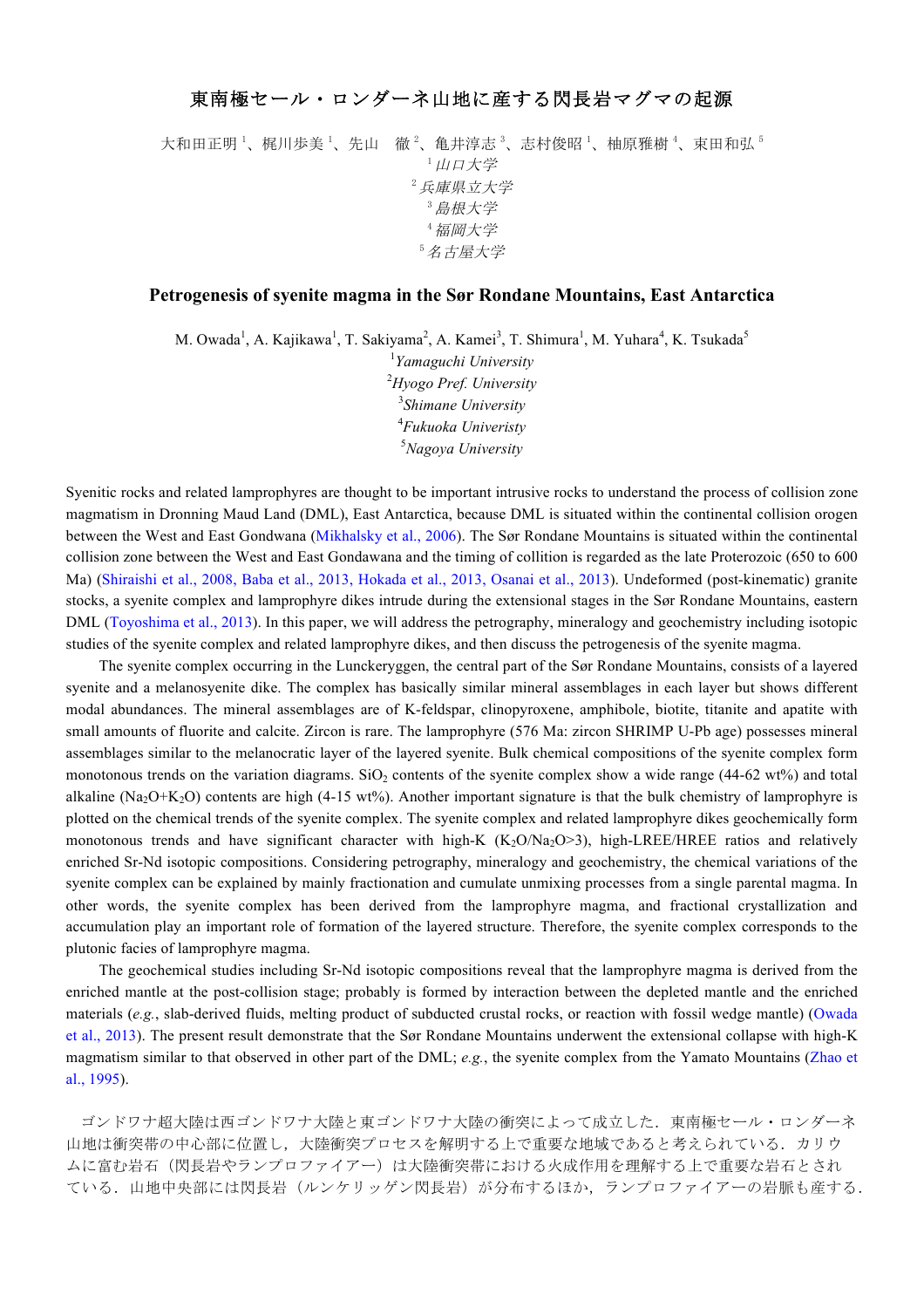## 東南極セール・ロンダーネ山地に産する閃長岩マグマの起源

大和田正明 '、梶川歩美 '、先山 徹 <sup>2</sup>、亀井淳志 <sup>3</sup>、志村俊昭 '、柚原雅樹 '、束田和弘 <sup>5</sup> <sup>1</sup>山口大学 <sup>2</sup>兵庫県立大学 <sup>3</sup>島根大学 <sup>4</sup>福岡大学 <sup>5</sup>名古屋大学

## **Petrogenesis of syenite magma in the Sør Rondane Mountains, East Antarctica**

M. Owada<sup>1</sup>, A. Kajikawa<sup>1</sup>, T. Sakiyama<sup>2</sup>, A. Kamei<sup>3</sup>, T. Shimura<sup>1</sup>, M. Yuhara<sup>4</sup>, K. Tsukada<sup>5</sup>

 *Yamaguchi University Hyogo Pref. University Shimane University Fukuoka Univeristy Nagoya University*

Syenitic rocks and related lamprophyres are thought to be important intrusive rocks to understand the process of collision zone magmatism in Dronning Maud Land (DML), East Antarctica, because DML is situated within the continental collision orogen between the West and East Gondwana (Mikhalsky et al., 2006). The Sør Rondane Mountains is situated within the continental collision zone between the West and East Gondawana and the timing of collition is regarded as the late Proterozoic (650 to 600 Ma) (Shiraishi et al., 2008, Baba et al., 2013, Hokada et al., 2013, Osanai et al., 2013). Undeformed (post-kinematic) granite stocks, a syenite complex and lamprophyre dikes intrude during the extensional stages in the Sør Rondane Mountains, eastern DML (Toyoshima et al., 2013). In this paper, we will address the petrography, mineralogy and geochemistry including isotopic studies of the syenite complex and related lamprophyre dikes, and then discuss the petrogenesis of the syenite magma.

The syenite complex occurring in the Lunckeryggen, the central part of the Sør Rondane Mountains, consists of a layered syenite and a melanosyenite dike. The complex has basically similar mineral assemblages in each layer but shows different modal abundances. The mineral assemblages are of K-feldspar, clinopyroxene, amphibole, biotite, titanite and apatite with small amounts of fluorite and calcite. Zircon is rare. The lamprophyre (576 Ma: zircon SHRIMP U-Pb age) possesses mineral assemblages similar to the melanocratic layer of the layered syenite. Bulk chemical compositions of the syenite complex form monotonous trends on the variation diagrams. SiO<sub>2</sub> contents of the syenite complex show a wide range (44-62 wt%) and total alkaline (Na<sub>2</sub>O+K<sub>2</sub>O) contents are high (4-15 wt%). Another important signature is that the bulk chemistry of lamprophyre is plotted on the chemical trends of the syenite complex. The syenite complex and related lamprophyre dikes geochemically form monotonous trends and have significant character with high-K  $(K_2O/Na_2O>3)$ , high-LREE/HREE ratios and relatively enriched Sr-Nd isotopic compositions. Considering petrography, mineralogy and geochemistry, the chemical variations of the syenite complex can be explained by mainly fractionation and cumulate unmixing processes from a single parental magma. In other words, the syenite complex has been derived from the lamprophyre magma, and fractional crystallization and accumulation play an important role of formation of the layered structure. Therefore, the syenite complex corresponds to the plutonic facies of lamprophyre magma.

The geochemical studies including Sr-Nd isotopic compositions reveal that the lamprophyre magma is derived from the enriched mantle at the post-collision stage; probably is formed by interaction between the depleted mantle and the enriched materials (*e.g.*, slab-derived fluids, melting product of subducted crustal rocks, or reaction with fossil wedge mantle) (Owada et al., 2013). The present result demonstrate that the Sør Rondane Mountains underwent the extensional collapse with high-K magmatism similar to that observed in other part of the DML; *e.g.*, the syenite complex from the Yamato Mountains (Zhao et al., 1995).

ゴンドワナ超大陸は西ゴンドワナ大陸と東ゴンドワナ大陸の衝突によって成立した.東南極セール・ロンダーネ 山地は衝突帯の中心部に位置し、大陸衝突プロセスを解明する上で重要な地域であると考えられている.カリウ ムに富む岩石(閃長岩やランプロファイアー)は大陸衝突帯における火成作用を理解する上で重要な岩石とされ ている. 山地中央部には閃長岩(ルンケリッゲン閃長岩)が分布するほか、ランプロファイアーの岩脈も産する.